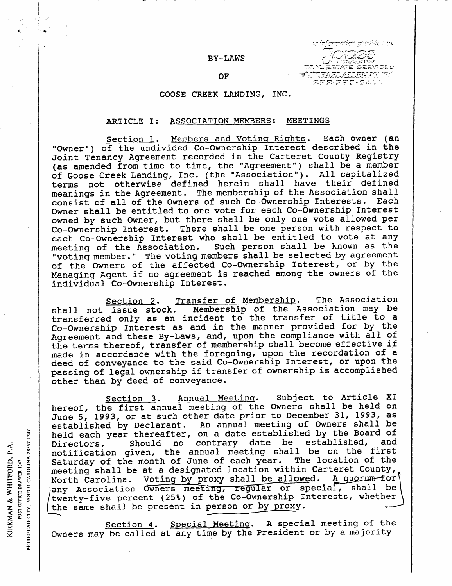### BY-LAWS

παάσε επενίδαι ην

# us and six the six of the six of the six of the six of the six of the six of the six of the six of the six of <br>"OF the six of the six of the six of the six of the six of the six of the six of the six of the six of the six<br>

### GOOSE CREEK LANDING, INC.

### ARTICLE I: ASSOCIATION MEMBERS: MEETINGS

Section 1. Members and Voting Rights. Each owner (an "Owner") of the undivided Co-Ownership Interest described in the Joint Tenancy Agreement recorded in the Carteret County Registry (as amended from time to time, the "Agreement") shall be a member of Goose Creek Landing, Inc. (the "Association"). All capitalized terms not otherwise defined herein shall have their defined meanings in the Agreement. The membership of the Association shall consist of all of the Owners of such Co-Ownership Interests. Each Owner shall be entitled to one vote for each Co-Ownership Interest owned by such Owner, but there shall be only one vote allowed per Co-Ownership Interest. There shall be one person with respect to each Co-Ownership Interest who shall be entitled to vote at any meeting of the Association. Such person shall be known as the Such person shall be known as the "voting member." The voting members shall be selected by agreement of the Owners of the affected Co-Ownership Interest, or by the Managing Agent if no agreement is reached among the owners of the individual Co-Ownership Interest.

Section 2. Transfer of Membership. The Association<br>shall not issue stock. Membership of the Association may be Membership of the Association may be transferred only as an incident to the transfer of title to <sup>a</sup> Co-Ownership Interest as and in the manner provided for by the Agreement and these By-Laws, and, upon the compliance with all of the terms thereof, transfer of membership shall become effective if made in accordance with the foregoing, upon the recordation of a deed of conveyance to the said Co-Ownership Interest, or upon the passing of legal ownership if transfer of ownership is accomplished other than by deed of conveyance

Section 3. Annual Meeting. Subject to Article XI section 3. Annual meeting. Subject to Aftitic Alereof, the first annual meeting of the Owners shall be held on June 5, 1993, or at such other date prior to December 31, 1993, as established by Declarant. An annual meeting of Owners shall be held each year thereafter, on a date established by the Board of<br>Directors. Should no contrary date be established, and Should no contrary date be established, deed of<br>
passing<br>
other th<br>
hereof,<br>
lune 5,<br>
lestablis<br>
lestablis<br>
held eac<br>
Director<br>
notifica<br>
Saturday<br>
meeting<br>
North Ca<br>
lany Ass notification given, the annual meeting shall be on the first Saturday of the month of June of each year. The location of the meeting shall be at a designated location within Carteret County,<br>North Carolina. Voting by proxy shall be allowed. A quorum for Voting by proxy shall be allowed. meeting shall be at a designated location within Carteret County,<br>North Carolina. Voting by proxy shall be allowed. A guorum for<br>any Association Owners meeting, regular or special, shall be<br>turnity five persont (258) of th twenty-five percent (25%) of the Co-Ownership Interests, whether the same shall be present in person or by proxy.

Section 4. Special Meeting. A special meeting of the Owners may be called at any time by the President or by a majority

 $\tilde{\mathbf{z}}$ OST OFFICE DRAWER 1347 KIRKMAN & WHITFORD, P.A. ra<br>Ci é 0 2

i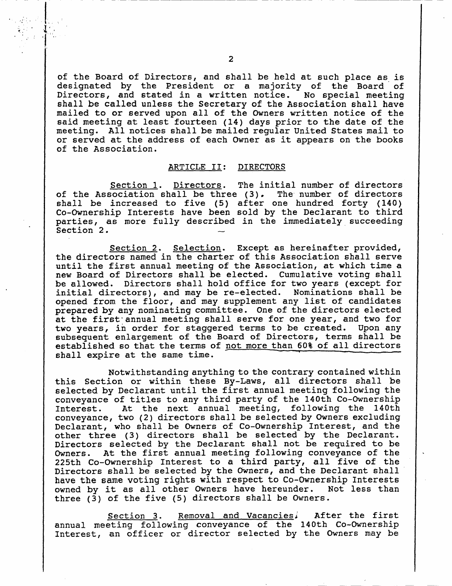of the Board of Directors, and shall be held at such place as is designated by the President or a majority of the Board of<br>Directors, and stated in a written notice. No special meeting Directors, and stated in a written notice. shall be called unless the Secretary of the Association shall have mailed to or served upon all of the Owners written notice of the said meeting at least fourteen (14) days prior to the date of the meeting. All notices shall be mailed regular United States mail to or served at the address of each Owner as it appears on the books of the Association

### ARTICLE II: DIRECTORS

Section 1. Directors. The initial number of directors Section 1. Directors. The initial number of directors<br>of the Association shall be three (3). The number of directors<br>shall be increased to five (5) after one hundred forty (140) of the Association shall be three (3). The number of directors<br>shall be increased to five (5) after one hundred forty (140)<br>Co Cunorship Interests have been sold by the Doclarant to third Co-Ownership Interests have been sold by the Declarant to third parties, as more fully described in the immediately succeeding Section 2.

Section 2. Selection. Except as hereinafter provided, the directors named in the charter of this Association shall serve until the first annual meeting of the Association, at which time a new Board of Directors shall be elected. Cumulative voting shall be allowed. Directors shall hold office for two years (except for initial directors), and may be re-elected. Nominations shall be opened from the floor, and may supplement any list of candidates prepared by any nominating committee. One of the directors elected at the first annual meeting shall serve for one year, and two for two years, in order for staggered terms to be created. Upon any subsequent enlargement of the Board of Directors, terms shall be established so that the terms of not more than 60% of all directors shall expire at the same time.

Notwithstanding anything to the contrary contained within this Section or within these By-Laws, all directors shall be selected by Declarant until the first annual meeting following the conveyance of titles to any third party of the 140th Co-Ownership<br>Interest. At the next annual meeting, following the 140th At the next annual meeting, following the 140th conveyance, two (2) directors shall be selected by Owners excluding Declarant, who shall be Owners of Co-Ownership Interest, and the<br>other three (3) directors shall be selected by the Declarant.<br>Directors solected by the Declarant shall not be required to be other three (3) directors shall be selected by the Declarant.<br>Directors selected by the Declarant shall not be required to be<br>Owners. At the first annual meeting following conveyance of the At the first annual meeting following conveyance of the 225th Co-Ownership Interest to a third party, all five of the Directors shall be selected by the Owners, and the Declarant shall have the same voting rights with respect to Co-Ownership Interests<br>owned by it as all other Owners have hereunder. Not less than owned by it as all other Owners have hereunder. Not less than<br>three (3) of the five (5) directors shall be Owners.

Section 3. Removal and Vacancies, After the first annual meeting following conveyance of the 140th Co-Ownership Interest, an officer or director selected by the Owners may be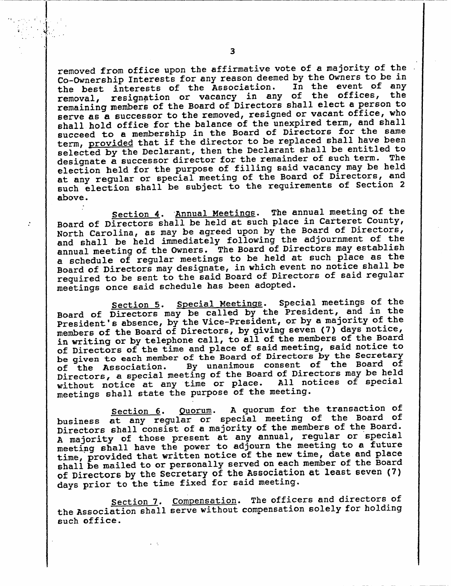removed from office upon the affirmative vote of <sup>a</sup> majority of the Co-Ownership Interests for any reason deemed by the Owners to be in<br>the best interests of the Association. In the event of any the best interests of the Association.<br>removal, resignation or vacancy in any resignation or vacancy in any of the offices, the remaining members of the Board of Directors shall elect <sup>a</sup> person to serve as a successor to the removed, resigned or vacant office, who shall hold office for the balance of the unexpired term, and shall succeed to a membership in the Board of Directors for the same term, provided that if the director to be replaced shall have been selected by the Declarant, then the Declarant shall be entitled to designate a successor director for the remainder of such term. The election held for the purpose of filling said vacancy may be held at any regular or special meeting of the Board of Directors, and such election shall be subject to the requirements of Section <sup>2</sup> above

Section 4. Annual Meetings. The annual meeting of the Board of Directors shall be held at such place in Carteret County, North Carolina, as may be agreed upon by the Board of Directors, and shall be held immediately following the adjournment of the annual meeting of the Owners. The Board of Directors may establish<br>annual meeting of the Owners. The Board of Directors may establish <sup>a</sup> schedule of regular meetings to be held at such place as the Board of Directors may designate, in which event no notice shall be required to be sent to the said Board of Directors of said regular meetings once said schedule has been adopted. North Carolina, as may be agreed upon by the board of birectors.<br>
And shall be held immediately following the adjournment of the<br>
a schedule of regular meetings to be held at such place as the<br>
Board of Directors may desig

 $\mathcal{L}$ 

Section 5. Special Meetings. Special meetings of the Board of Directors may be called by the President, and in the President's absence, by the Vice-President, or by a majority of the members of the Board of Directors, by giving seven (7) days notice, in writing or by telephone call, to all of the members of the Board of Directors of the time and place of said meeting, said notice to be given to each member of the Board of Directors by the Secretary<br>of the Association. By unanimous consent of the Board of By unanimous consent of the Board of of the Association. By unanimous consense of the Board of Directors ay be held<br>Directors, a special meeting of the Board of Directors may be held Directors, a special meeting of the board of Directors hay be near<br>without notice at any time or place. All notices of special without notice at any time or place. All notices of special<br>meetings shall state the purpose of the meeting.

Section 6. Quorum. A quorum for the transaction of business at any regular or special meeting of the Board of Directors shall consist of a majority of the members of the Board. A majority of those present at any annual, regular or special meeting shall have the power to adjourn the meeting to <sup>a</sup> future time, provided that written notice of the new time, date and place shall be mailed to or personally served on each member of the Board of Directors by the Secretary of the Association at least seven (7) days prior to the time fixed for said meeting.

Section 7. Compensation. The officers and directors of the Association shall serve without compensation solely for holding such office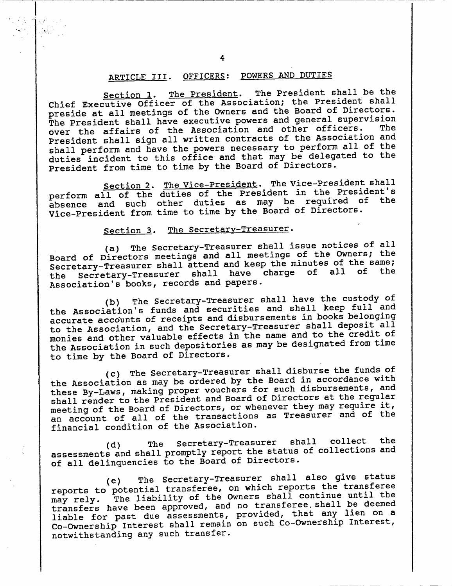### ARTICLE III. OFFICERS: POWERS AND DUTIES

Section 1. The President. The President shall be the Chief Executive Officer of the Association; the President shall preside at all meetings of the Owners and the Board of Directors The President shall have executive powers and general supervision<br>The President shall have executive powers and other officers. The over the affairs of the Association and other officers. President shall sign all written contracts of the Association and shall perform and have the powers necessary to perform all of the duties incident to this office and that may be delegated to the President from time to time by the Board of Directors. President shart<br>
d of Directors.<br>
eral supervision<br>
officers. The<br>
Association and<br>
rform all of the<br>
elegated to the<br>
cors.<br>
President shall<br>
the President's<br>
equired of the<br>
Directors.

Section 2. The Vice-President. The Vice-President shall perform perform and such other duties as may be required section 2. The vice-riesident. The viceof the Vice-President from time to time by the Board of Directors.

### Section 3. The Secretary-Treasurer.

THE THE SECTE SECTED THE SECTED THE SECTED THE SECTED THE SECTED THE SECTED SECTED IN SECTED SECTED IN STREET SECTED SECTED SECTED SECTED SECTED SECTED SECTED SECTED SECTED SECTED SECTED SECTED SECTED SECTED SECTED SECTED Board of Directors meetings and all meetings of the Owners; the Secretary-Treasurer shall attend and keep the minutes of the same;<br>the Secretary-Treasurer shall have charge of all of the the Secretary-Treasurer shall have charge of all of the<br>Association's books, records and papers. Section 2. The Vice-President.<br>
perform all of the duties of the Pres<br>
absence and such other duties as n<br>
Vice-President from time to time by the<br>
Section 3. The Secretary-Trea<br>
(a) The Secretary-Treasurer food and the<br>
S

(b) The Secretary-Treasurer shall have the custody of<br>the Association's funds and securities and shall keep full and absence and such other duties as may be required of Directors.<br>Vice-President from time to time by the Board of Directors.<br>
Section 3. The Secretary-Treasurer.<br>
(a) The Secretary-Treasurer shall issue notices of all<br>
Board the Association's funds and securities and bhair hoof the model<br>accurate accounts of receipts and disbursements in books belonging to the Association, and the Secretary-Treasurer shall deposit all monies and other valuable effects in the name and to the credit of the Association in such depositories as maybe designated from time to time by the Board of Directors

ene Board of Birocourse.<br>(c) The Secretary-Treasurer shall disburse the funds of<br>ation as may be ordered by the Board in accordance with the Association as may be ordered by the Board in accordance with these By-Laws, making proper vouchers for such disbursements, and these By-Laws, making proper vouchers for such disbursements, and<br>shall render to the President and Board of Directors at the regular<br>meeting of the Board of Directors, or whenever they may require it, meeting of the Board of Directors, or whenever they may require it, an account of all of the transactions as Treasurer and of the financial condition of the Association.

d The SecretaryTreasurer shall collect the (a) The Secretary-ricasurer Sharr Corrections and<br>assessments and shall promptly report the status of collections and of all delinquencies to the Board of Directors.

.<br>(e)<br>. The Secretary-Treasurer shall also give status e) The secretary frequency which reports to potential transferee, on which reports the transferee<br>reports to potential transferee, on which reports the transferee may rely. The liability of the Owners shall continue until the transfers have been approved, and no transferee shall be deemed liable for past due assessments, provided, that any lien on a Co-Ownership Interest shall remain on such Co-Ownership Interest, notwithstanding any such transfer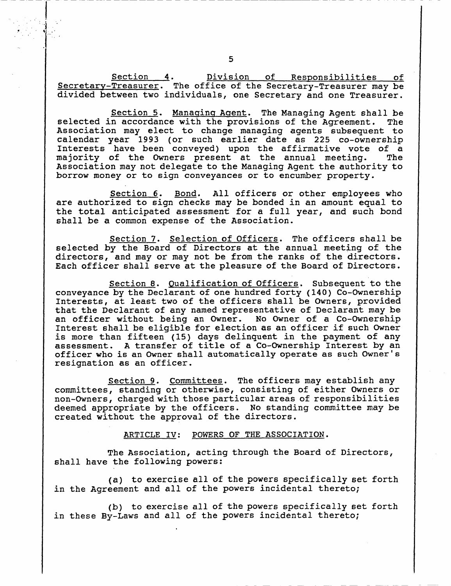Section 4. Division of Responsibilities of Secretary-Treasurer. The office of the Secretary-Treasurer may be divided between two individuals, one Secretary and one Treasurer.

Section 5. Managing Agent. The Managing Agent shall be<br>n accordance with the provisions of the Agreement. The selected in accordance with the provisions of the Agreement. Association may elect to change managing agents subsequent to calendar year 1993 (or such earlier date as 225 co-ownership Interests have been conveyed) upon the affirmative vote of a<br>majority of the Owners present at the annual meeting. The majority of the Owners present at the annual meeting. Association may not delegate to the Managing Agent the authority to borrow money or to sign conveyances or to encumber property

Section 6. Bond. All officers or other employees who are authorized to sign checks may be bonded in an amount equal to the total anticipated assessment for a full year, and such bond shall be a common expense of the Association.

Section 7. Selection of Officers. The officers shall be selected by the Board of Directors at the annual meeting of the directors, and may or may not be from the ranks of the directors. Each officer shall serve at the pleasure of the Board of Directors

Section 8. Qualification of Officers. Subsequent to the conveyance by the Declarant of one hundred forty (140) Co-Ownership Interests, at least two of the officers shall be Owners, provided<br>that the Declarant of any named representative of Declarant may be<br>an officer without being an Owner. No Owner of a Co-Ownership<br>Interest shall be eligible that the Declarant of any named representative of Declarant may be an officer without being an Owner. No Owner of a Co-Ownership Interest shall be eligible for election as an officer if such Owner is more than fifteen (15) days delinquent in the payment of any assessment. A transfer of title of a Co-Ownership Interest by an officer who is an Owner shall automatically operate as such Owner's resignation as an officer

Section 9. Committees. The officers may establish any committees, standing or otherwise, consisting of either Owners or non-Owners, charged with those particular areas of responsibilities deemed appropriate by the officers. No standing committee may be created without the approval of the directors

ARTICLE IV: POWERS OF THE ASSOCIATION.

The Association, acting through the Board of Directors, shall have the following powers:

(a) to exercise all of the powers specifically set forth<br>coment and all of the powers incidental thereto: in the Agreement and all of the powers incidental thereto;

(b) to exercise all of the powers specifically set forth in these By-Laws and all of the powers incidental thereto;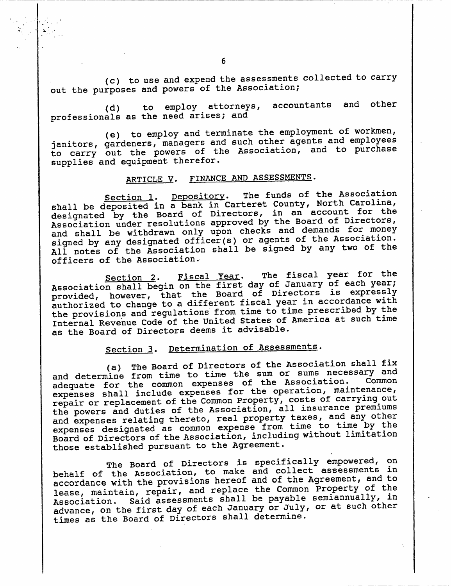(c) to use and expend the assessments collected to carry<br>coses and powers of the Association; out the purposes and powers of the Association;

-<br>(d)<br>als to employ attorneys, accountants and other professionals as the need arises; and

(e) to employ and terminate the employment of workmen, janitors, gardeners, managers and such other agents and employees to carry out the powers of the Association, and to purchase supplies and equipment therefor.

### ARTICLE V. FINANCE AND ASSESSMENTS.

Section 1. Depository. The funds of the Association section 1. Bepository. The fame of the Carolina,<br>shall be deposited in a bank in Carteret County, North Carolina, designated by the Board of Directors, in an account for the Association under resolutions approved by the Board of Directors and shall be withdrawn only upon checks and demands for money MARTICLE V. FINANCE P<br>
Section 1. Depository.<br>
Section 1. Depository.<br>
Section 1. Depository.<br>
Section in a bank in Ca<br>
designated by the Board of Direct<br>
Association under resolutions approach<br>
and shall be withdrawn only signed by any designated officer(s) or agents of the Association. All notes of the Association shall be signed by any two of the officers of the Association

Section 2. Fiscal Year. The fiscal year for the Section 2. Fiscal Year. The fiscal year for end<br>Association shall begin on the first day of January of each year; Association shall begin on the first day of Sandary of Sach year,<br>provided, however, that the Board of Directors is expressly authorized to change to <sup>a</sup> different fiscal year in accordance with the provisions and regulations from time to time prescribed by the Internal Revenue Code of the United States of America at such time as the Board of Directors deems it advisable

## Section 3. Determination of Assessments.

(a) The Board of Directors of the Association shall fix and determine from time to time the sum or sums necessary and adequate for the common expenses of the Association. expenses shall include expenses for the operation, maintenance, repair or replacement of the Common Property, costs of carrying out the powers and duties of the Association, all insurance premiums the powers and duties of the Association, difficulties promoter<br>and expenses relating thereto, real property taxes, and any other and expenses relating thereto, leal property taxes, and any concerned<br>expenses designated as common expense from time to time by the Board of Directors of the Association, including without limitation those established pursuant to the Agreement.

The Board of Directors is specifically empowered, on The Board of Directors is specifically empowered, en<br>behalf of the Association, to make and collect assessments in accordance with the provisions hereof and of the Agreement, and to lease, maintain, repair, and replace the Common Property of the<br>Association. Said assessments shall be payable semiannually, in Said assessments shall be payable semiannually, in advance, on the first day of each January or July, or at such other times as the Board of Directors shall determine.

 $\ddot{\phantom{1}}$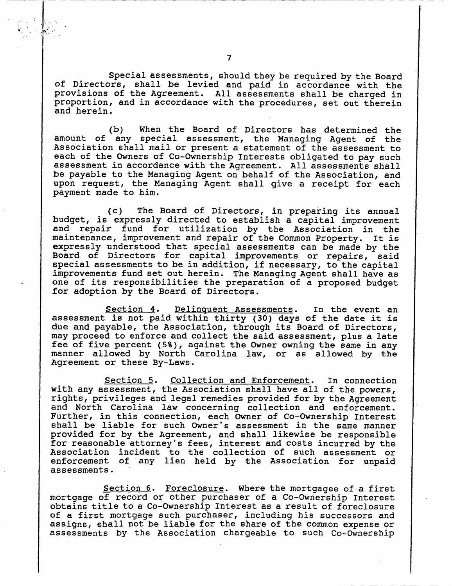Special assessments, should they be required by the Board of Directors, shall be levied and paid in accordance with the provisions of the Agreement. All assessments shall be charged in proportion, and in accordance with the procedures, set out therein and herein

(b) When the Board of Directors has determined the amount of any special assessment, the Managing Agent of the Association shall mail or present <sup>a</sup> statement of the assessment to each of the Owners of Co-Ownership Interests obligated to pay such assessment in accordance with the Agreement. All assessments shall be payable to the Managing Agent on behalf of the Association, and upon request, the Managing Agent shall give a receipt for each payment made to him

 $(c)$ The Board of Directors, in preparing its annual budget, is expressly directed to establish a capital improvement and repair fund for utilization by the Association in the maintenance, improvement and repair of the Common Property. It is expressly understood that special assessments can be made by the Board of Directors for capital improvements or repairs, said special assessments to be in addition, if necessary, to the capital improvements fund set out herein. The Managing Agent shall have as one of its responsibilities the preparation of <sup>a</sup> proposed budget for adoption by the Board of Directors

Section 4. Delinquent Assessments. In the event an assessment is not paid within thirty (30) days of the date it is due and payable, the Association, through its Board of Directors, may proceed to enforce and collect the said assessment, plus a late fee of five percent (5%), against the Owner owning the same in any manner allowed by North Carolina law, or as allowed by the Agreement or these By-Laws.

Section 5. Collection and Enforcement. In connection with any assessment, the Association shall have all of the powers, rights privileges and legal remedies provided for by the Agreement and North Carolina law concerning collection and enforcement. Further, in this connection, each Owner of Co-Ownership Interest<br>shall be liable for such Owner's assessment in the same manner Section 5. Collection and Enforcement. In connection<br>with any assessment, the Association shall have all of the powers,<br>rights, privileges and legal remedies provided for by the Agreement<br>and North Carolina law concerning provided for by the Agreement, and shall likewise be responsible<br>for reasonable attorney's fees, interest and costs incurred by the Subsection 5. Collection and Enforcement. In connection<br>with any assessment, the Association shall have all of the powers,<br>rights, privileges and legal remedies provided for by the Agreement<br>and North Carolina law concerni Association incident to the collection of such assessment or enforcement of any lien held by the Association for unpaid assessments

Section 6. Foreclosure. Where the mortgagee of a first mortgage of record or other purchaser of a Co-Ownership Interest obtains title to a Co-Ownership Interest as a result of foreclosure of a first mortgage such purchaser, including his successors and assigns, shall not be liable for the share of the common expense or assessments by the Association chargeable to such Co-Ownership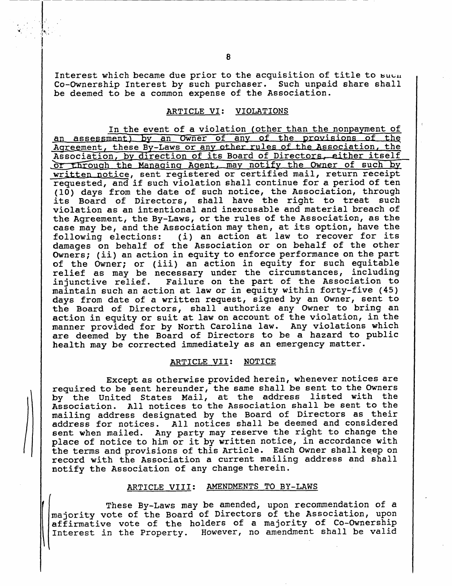Interest which became due prior to the acquisition of title to such Co-Ownership Interest by such purchaser. Such unpaid share shall be deemed to be a common expense of the Association.

### ARTICLE VI: VIOLATIONS

In the event of a violation (other than the nonpayment of In the event of a violation (other than the nonpayment of<br>an assessment) by an Owner of any of the provisions of the<br>Agreement these By Laws or any other rules of the Association, the an assessment) by an Owner of any of the provisions of the<br>Agreement, these By-Laws or any other rules of the Association, the Agreement, these By-Laws or any other fules of the Association, the<br>Association, by direction of its Board of Directors, either itself an assessment) by an Owner of any of the provisions of the Agreement, these By-Laws or any other rules of the Association, the Association, by direction of its Board of Directors, either itsel<br>Or through the Managing Agent or through the Managing Agent, may notify the Owner of such by written notice, sent registered or certified mail, return receipt requested, and if such violation shall continue for a period of ten (10) days from the date of such notice, the Association, through its Board of Directors, shall have the right to treat such violation as an intentional and inexcusable and material breach of the Agreement, the By-Laws, or the rules of the Association, as the case may be, and the Association may then, at its option, have the<br>following elections: (i) an action at law to recover for its (10) days from the date of<br>its Board of Directors,<br>violation as an intentiona<br>the Agreement, the By-Laws<br>case may be, and the Assoc<br>following elections: (i)<br>damages on behalf of the (i) an action at law to recover for its damages on behalf of the Association or on behalf of the other<br>Owners; (ii) an action in equity to enforce performance on the part case may be, and the Association may then, at its option, have the<br>following elections: (i) an action at law to recover for its<br>damages on behalf of the Association or on behalf of the other<br>Owners; (ii) an action in equit damages on behalf of the Association or on behalf of the other<br>Owners; (ii) an action in equity to enforce performance on the part<br>of the Owner; or (iii) an action in equity for such equitable<br>relief as may be necessary un relief as may be necessary under the circumstances, including injunctive relief. Failure on the part of the Association to maintain such an action at law or in equity within forty-five  $(45)$ days from date of a written request, signed by an Owner, sent to the Board of Directors, shall authorize any Owner to bring an action in equity or suit at law on account of the violation, in the manner provided for by North Carolina law. Any violations which are deemed by the Board of Directors to be <sup>a</sup> hazard to public health may be corrected immediately as an emergency matter

#### ARTICLE VII: NOTICE

Except as otherwise provided herein, whenever notices are required to be sent hereunder, the same shall be sent to the Owners by the United States Mail, at the address listed with the Association All notices to the Association shall be sent to the mailing address designated by the Board of Directors as their address for notices All notices shall be deemed and considered sent when mailed. Any party may reserve the right to change the place of notice to him or it by written notice, in accordance with the terms and provisions of this Article. Each Owner shall keep on record with the Association <sup>a</sup> current mailing address and shall notify the Association of any change therein

### ARTICLE VIII: AMENDMENTS TO BY-LAWS

These By-Laws may be amended, upon recommendation of a majority vote of the Board of Directors of the Association, upon affirmative vote of the holders of a majority of Co-Ownership Interest in the Property. However, no amendment shall be valid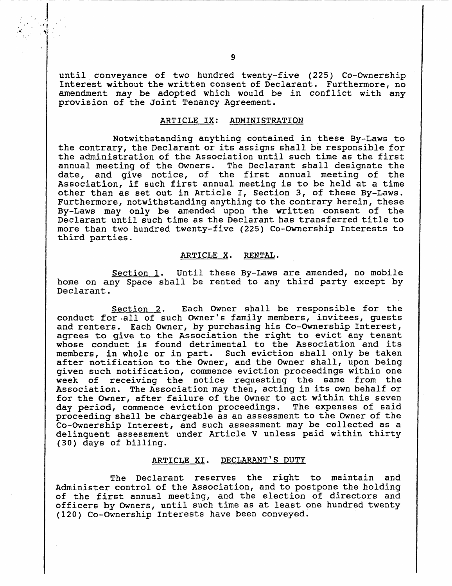until conveyance of two hundred twenty-five (225) Co-Ownership Interest without the written consent of Declarant. Furthermore, no amendment may be adopted which would be in conflict with any provision of the Joint Tenancy Agreement

### ARTICLE IX: ADMINISTRATION

Notwithstanding anything contained in these By-Laws to the contrary, the Declarant or its assigns shall be responsible for the administration of the Association until such time as the first annual meeting of the Owners. The Declarant shall designate the date, and give notice, of the first annual meeting of the Association, if such first annual meeting is to be held at a time date, and give notice, of the first annual meeting of the<br>Association, if such first annual meeting is to be held at a time<br>other than as set out in Article I, Section 3, of these By-Laws. Furthermore, notwithstanding anything to the contrary herein, these By-Laws may only be amended upon the written consent of the Declarant until such time as the Declarant has transferred title to more than two hundred twenty-five (225) Co-Ownership Interests to third parties

### ARTICLE X. RENTAL.

Section 1. Until these By-Laws are amended, no mobile home on any Space shall be rented to any third party except by Declarant.

Section 2. Each Owner shall be responsible for the conduct for all of such Owner's family members, invitees, quests Section 1. Until these By-Laws are amended, no mobile<br>
home on any Space shall be rented to any third party except by<br>
Declarant.<br>
<u>Section 2</u>. Each Owner shall be responsible for the<br>
conduct for all of such Owner's famil and reneers. Each owner, by paremasing ins to ownersing increase, agrees to give to the Association the right to evict any tenant<br>whose conduct is found detrimental to the Association and its members, in whole or in part. Such eviction shall only be taken after notification to the Owner, and the Owner shall, upon being given such notification, commence eviction proceedings within one week of receiving the notice requesting the same from the Association. The Association may then, acting in its own behalf or for the Owner, after failure of the Owner to act within this seven day period, commence eviction proceedings. The expenses of said proceeding shall be chargeable as an assessment to the Owner of the Co-Ownership Interest, and such assessment may be collected as a delinquent assessment under Article <sup>V</sup> unless paid within thirty (30) days of billing. er failure of the Owner to act<br>nce eviction proceedings. The<br>e chargeable as an assessment<br>rest, and such assessment may<br>nent under Article V unless I<br>ng.<br>ARTICLE XI. DECLARANT'S DUTY<br>larant reserves the right

The Declarant reserves the right to maintain and Administer control of the Association, and to postpone the holding Administer control of the Association, and to postpone the holding<br>of the first annual meeting, and the election of directors and officers by Owners, until such time as at least one hundred twenty (120) Co-Ownership Interests have been conveyed.

1

a